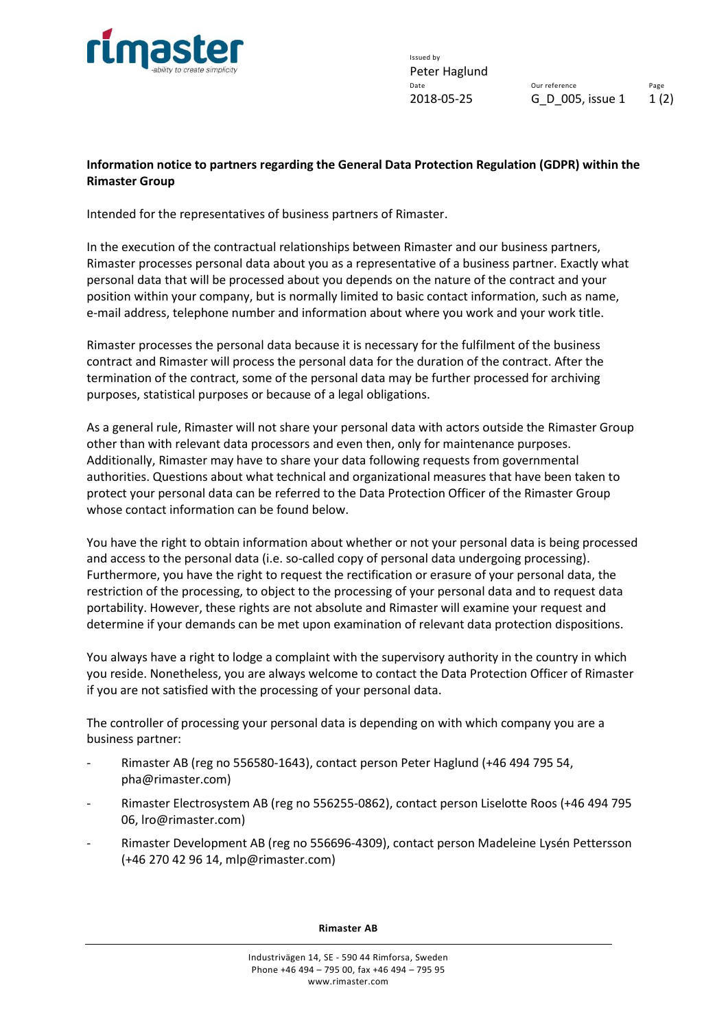

Issued by Peter Haglund<br>Date

Our reference Page 2018-05-25 G\_D\_005, issue 1 1 (2)

## **Information notice to partners regarding the General Data Protection Regulation (GDPR) within the Rimaster Group**

Intended for the representatives of business partners of Rimaster.

In the execution of the contractual relationships between Rimaster and our business partners, Rimaster processes personal data about you as a representative of a business partner. Exactly what personal data that will be processed about you depends on the nature of the contract and your position within your company, but is normally limited to basic contact information, such as name, e-mail address, telephone number and information about where you work and your work title.

Rimaster processes the personal data because it is necessary for the fulfilment of the business contract and Rimaster will process the personal data for the duration of the contract. After the termination of the contract, some of the personal data may be further processed for archiving purposes, statistical purposes or because of a legal obligations.

As a general rule, Rimaster will not share your personal data with actors outside the Rimaster Group other than with relevant data processors and even then, only for maintenance purposes. Additionally, Rimaster may have to share your data following requests from governmental authorities. Questions about what technical and organizational measures that have been taken to protect your personal data can be referred to the Data Protection Officer of the Rimaster Group whose contact information can be found below.

You have the right to obtain information about whether or not your personal data is being processed and access to the personal data (i.e. so-called copy of personal data undergoing processing). Furthermore, you have the right to request the rectification or erasure of your personal data, the restriction of the processing, to object to the processing of your personal data and to request data portability. However, these rights are not absolute and Rimaster will examine your request and determine if your demands can be met upon examination of relevant data protection dispositions.

You always have a right to lodge a complaint with the supervisory authority in the country in which you reside. Nonetheless, you are always welcome to contact the Data Protection Officer of Rimaster if you are not satisfied with the processing of your personal data.

The controller of processing your personal data is depending on with which company you are a business partner:

- Rimaster AB (reg no 556580-1643), contact person Peter Haglund (+46 494 795 54, pha@rimaster.com)
- Rimaster Electrosystem AB (reg no 556255-0862), contact person Liselotte Roos (+46 494 795 06, lro@rimaster.com)
- Rimaster Development AB (reg no 556696-4309), contact person Madeleine Lysén Pettersson (+46 270 42 96 14, mlp@rimaster.com)

**Rimaster AB**